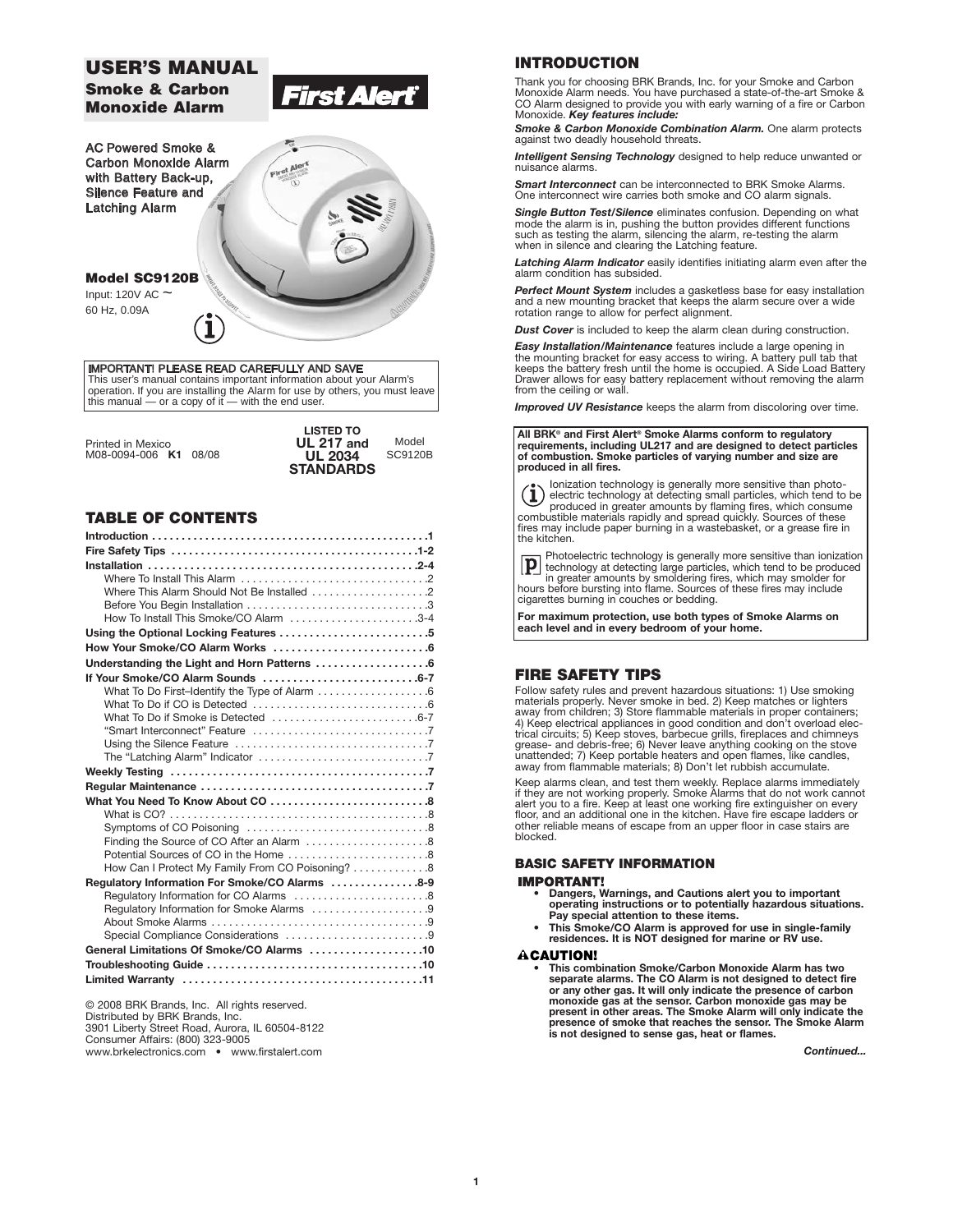# **USER'S MANUAL**

**Smoke & Carbon Monoxide Alarm**

**Model SC9120B** Input: 120V AC ~ 60 Hz, 0.09A

AC Powered Smoke & Carbon Monoxide Alarm with Battery Back-up, Silence Feature and Latching Alarm



*First Ale* 

IMPORTANT! PLEASE READ CAREFULLY AND SAVE This user's manual contains important information about your Alarm's<br>operation. If you are installing the Alarm for use by others, you must leave<br>this manual — or a copy of it — with the end user.

|                       | <b>LISTED TO</b>  |                |
|-----------------------|-------------------|----------------|
| Printed in Mexico     | <b>UL 217 and</b> | Model          |
| M08-0094-006 K1 08/08 | <b>UL 2034</b>    | <b>SC9120B</b> |
|                       | <b>STANDARDS</b>  |                |

# **TABLE OF CONTENTS**

| How To Install This Smoke/CO Alarm 3-4                                                   |  |
|------------------------------------------------------------------------------------------|--|
| Using the Optional Locking Features 5                                                    |  |
|                                                                                          |  |
| Understanding the Light and Horn Patterns 6                                              |  |
|                                                                                          |  |
| What To Do First-Identify the Type of Alarm 6                                            |  |
|                                                                                          |  |
| What To Do if Smoke is Detected 6-7                                                      |  |
|                                                                                          |  |
|                                                                                          |  |
|                                                                                          |  |
|                                                                                          |  |
|                                                                                          |  |
|                                                                                          |  |
|                                                                                          |  |
|                                                                                          |  |
|                                                                                          |  |
| How Can I Protect My Family From CO Poisoning?  8                                        |  |
|                                                                                          |  |
| Regulatory Information For Smoke/CO Alarms 8-9<br>Regulatory Information for CO Alarms 8 |  |
| Regulatory Information for Smoke Alarms 9                                                |  |
|                                                                                          |  |
| Special Compliance Considerations 9                                                      |  |
| General Limitations Of Smoke/CO Alarms 10                                                |  |
|                                                                                          |  |
|                                                                                          |  |
|                                                                                          |  |

© 2008 BRK Brands, Inc. All rights reserved. Distributed by BRK Brands, Inc. 3901 Liberty Street Road, Aurora, IL 60504-8122 Consumer Affairs: (800) 323-9005 www.brkelectronics.com • www.firstalert.com

# **INTRODUCTION**

Thank you for choosing BRK Brands, Inc. for your Smoke and Carbon Monoxide Alarm needs. You have purchased a state-of-the-art Smoke & CO Alarm designed to provide you with early warning of a fire or Carbon Monoxide. *Key features include:*

**Smoke & Carbon Monoxide Combination Alarm.** One alarm protects against two deadly household threats.

**Intelligent Sensing Technology** designed to help reduce unwanted or nuisance alarms.

*Smart Interconnect* can be interconnected to BRK Smoke Alarms. One interconnect wire carries both smoke and CO alarm signals.

*Single Button Test/Silence* eliminates confusion. Depending on what<br>mode the alarm is in, pushing the button provides different functions<br>such as testing the alarm, silencing the alarm, re-testing the alarm when in silence and clearing the Latching feature.

*Latching Alarm Indicator* easily identifies initiating alarm even after the alarm condition has subsided.

*Perfect Mount System* includes a gasketless base for easy installation and a new mounting bracket that keeps the alarm secure over a wide rotation range to allow for perfect alignment.

*Dust Cover* is included to keep the alarm clean during construction.

*Easy Installation/Maintenance* features include a large opening in<br>the mounting bracket for easy access to wiring. A battery pull tab that<br>keeps the battery fresh until the home is occupied. A Side Load Battery Drawer allows for easy battery replacement without removing the alarm from the ceiling or wall.

**Improved UV Resistance** keeps the alarm from discoloring over time.

**All BRK® and First Alert® Smoke Alarms conform to regulatory requirements, including UL217 and are designed to detect particles of combustion. Smoke particles of varying number and size are produced in all fires.**



Ionization technology is generally more sensitive than photo-electric technology at detecting small particles, which tend to be produced in greater amounts by flaming fires, which consume combustible materials rapidly and spread quickly. Sources of these fires may include paper burning in a wastebasket, or a grease fire in the kitchen.

Photoelectric technology is generally more sensitive than ionization technology at detecting large particles, which tend to be produced "<sup>--</sup> in greater amounts by smoldering fires, which may smolder for<br>hours before bursting into flame. Sources of these fires may include cigarettes burning in couches or bedding.

**For maximum protection, use both types of Smoke Alarms on each level and in every bedroom of your home.**

# **FIRE SAFETY TIPS**

Follow safety rules and prevent hazardous situations: 1) Use smoking materials properly. Never smoke in bed. 2) Keep matches or lighters away from children; 3) Store flammable materials in proper containers; 4) Keep electrical appliances in good condition and don't overload electrical circuits; 5) Keep stoves, barbecue grills, fireplaces and chimneys<br>grease- and debris-free; 6) Never leave anything cooking on the stove<br>unatten away from flammable materials; 8) Don't let rubbish accumulate.

Keep alarms clean, and test them weekly. Replace alarms immediately if they are not working properly. Smoke Alarms that do not work cannot alert you to a fire. Keep at least one working fire extinguisher on every floor, and an additional one in the kitchen. Have fire escape ladders or other reliable means of escape from an upper floor in case stairs are blocked.

## **BASIC SAFETY INFORMATION**

#### **IMPORTANT!**

- **Dangers, Warnings, and Cautions alert you to important operating instructions or to potentially hazardous situations. Pay special attention to these items.**
- **This Smoke/CO Alarm is approved for use in single-family residences. It is NOT designed for marine or RV use.**

## **ACAUTION!**

**• This combination Smoke/Carbon Monoxide Alarm has two separate alarms. The CO Alarm is not designed to detect fire or any other gas. It will only indicate the presence of carbon monoxide gas at the sensor. Carbon monoxide gas may be present in other areas. The Smoke Alarm will only indicate the presence of smoke that reaches the sensor. The Smoke Alarm is not designed to sense gas, heat or flames.**

*Continued...*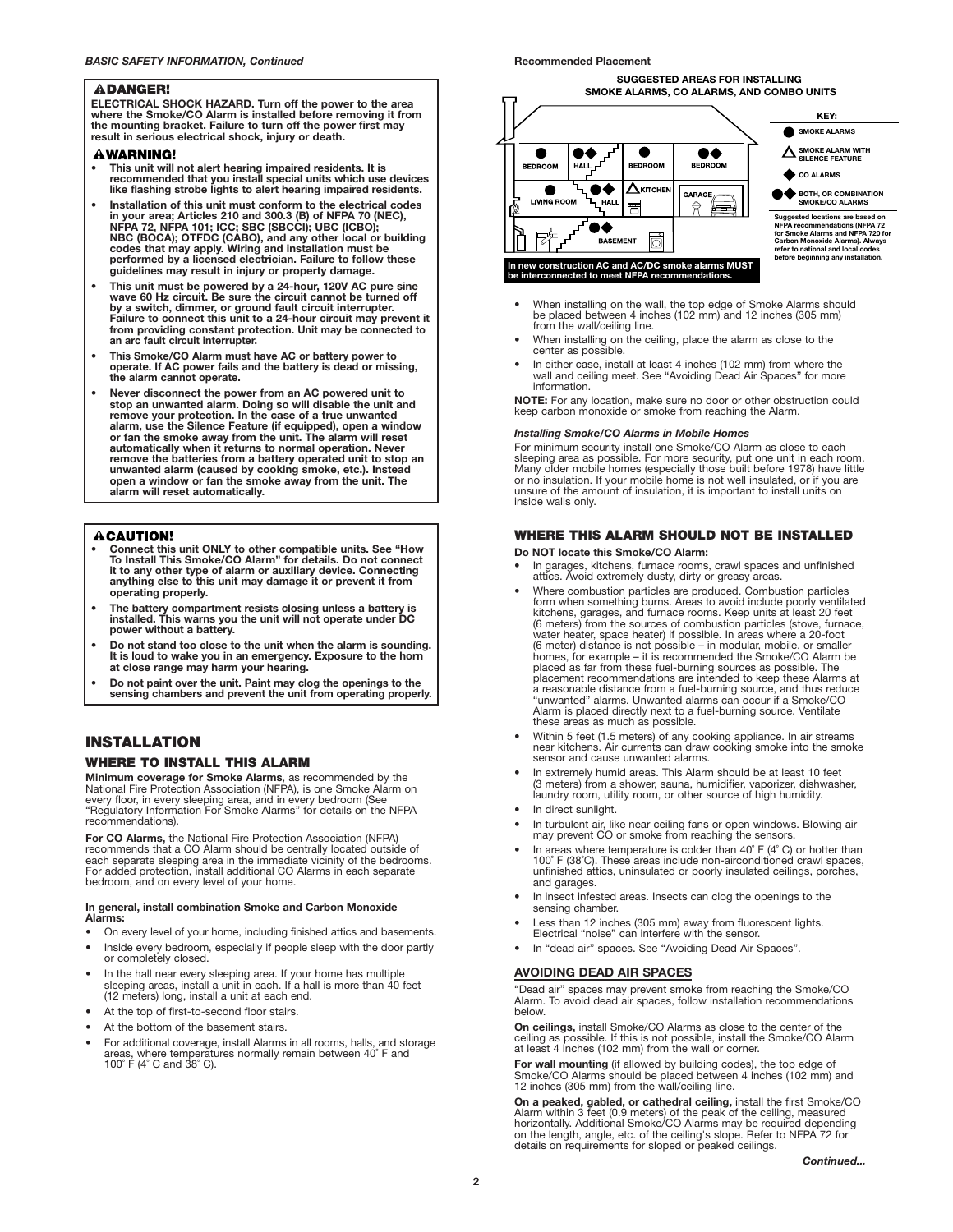#### **ADANGER!**

**ELECTRICAL SHOCK HAZARD. Turn off the power to the area where the Smoke/CO Alarm is installed before removing it from the mounting bracket. Failure to turn off the power first may result in serious electrical shock, injury or death.**

#### **WARNING!**

- **• This unit will not alert hearing impaired residents. It is recommended that you install special units which use devices like flashing strobe lights to alert hearing impaired residents.**
- **Installation of this unit must conform to the electrical codes in your area; Articles 210 and 300.3 (B) of NFPA 70 (NEC), NFPA 72, NFPA 101; ICC; SBC (SBCCI); UBC (ICBO); NBC (BOCA); OTFDC (CABO), and any other local or building codes that may apply. Wiring and installation must be performed by a licensed electrician. Failure to follow these guidelines may result in injury or property damage.**
- **• This unit must be powered by a 24-hour, 120V AC pure sine wave 60 Hz circuit. Be sure the circuit cannot be turned off by a switch, dimmer, or ground fault circuit interrupter. Failure to connect this unit to a 24-hour circuit may prevent it from providing constant protection. Unit may be connected to an arc fault circuit interrupter.**
- **• This Smoke/CO Alarm must have AC or battery power to operate. If AC power fails and the battery is dead or missing, the alarm cannot operate.**
- **• Never disconnect the power from an AC powered unit to stop an unwanted alarm. Doing so will disable the unit and remove your protection. In the case of a true unwanted alarm, use the Silence Feature (if equipped), open a window or fan the smoke away from the unit. The alarm will reset automatically when it returns to normal operation. Never remove the batteries from a battery operated unit to stop an unwanted alarm (caused by cooking smoke, etc.). Instead open a window or fan the smoke away from the unit. The alarm will reset automatically.**

# **ACAUTION!**

- **Connect this unit ONLY to other compatible units. See "How To Install This Smoke/CO Alarm" for details. Do not connect it to any other type of alarm or auxiliary device. Connecting anything else to this unit may damage it or prevent it from operating properly.**
- **• The battery compartment resists closing unless a battery is installed. This warns you the unit will not operate under DC power without a battery.**
- **Do not stand too close to the unit when the alarm is sounding. It is loud to wake you in an emergency. Exposure to the horn at close range may harm your hearing.**
- **Do not paint over the unit. Paint may clog the openings to the sensing chambers and prevent the unit from operating properly.**

# **INSTALLATION**

## **WHERE TO INSTALL THIS ALARM**

**Minimum coverage for Smoke Alarms**, as recommended by the National Fire Protection Association (NFPA), is one Smoke Alarm on every floor, in every sleeping area, and in every bedroom (See "Regulatory Information For Smoke Alarms" for details on the NFPA recommendations).

**For CO Alarms,** the National Fire Protection Association (NFPA) recommends that a CO Alarm should be centrally located outside of each separate sleeping area in the immediate vicinity of the bedrooms. For added protection, install additional CO Alarms in each separate bedroom, and on every level of your home.

#### **In general, install combination Smoke and Carbon Monoxide Alarms:**

- On every level of your home, including finished attics and basements.
- Inside every bedroom, especially if people sleep with the door partly or completely closed.
- In the hall near every sleeping area. If your home has multiple sleeping areas, install a unit in each. If a hall is more than 40 feet (12 meters) long, install a unit at each end.
- At the top of first-to-second floor stairs.
- At the bottom of the basement stairs.
- For additional coverage, install Alarms in all rooms, halls, and storage areas, where temperatures normally remain between 40˚ F and 100˚ F (4˚ C and 38˚ C).

#### **Recommended Placement**

**SUGGESTED AREAS FOR INSTALLING SMOKE ALARMS, CO ALARMS, AND COMBO UNITS**



- When installing on the wall, the top edge of Smoke Alarms should be placed between 4 inches (102 mm) and 12 inches (305 mm) from the wall/ceiling line.
- When installing on the ceiling, place the alarm as close to the center as possible.
- In either case, install at least 4 inches (102 mm) from where the wall and ceiling meet. See "Avoiding Dead Air Spaces" for more information.

**NOTE:** For any location, make sure no door or other obstruction could keep carbon monoxide or smoke from reaching the Alarm.

#### *Installing Smoke/CO Alarms in Mobile Homes*

For minimum security install one Smoke/CO Alarm as close to each sleeping area as possible. For more security, put one unit in each room. Many older mobile homes (especially those built before 1978) have little or no insulation. If your mobile home is not well insulated, or if you are unsure of the amount of insulation, it is important to install units on inside walls only.

# **WHERE THIS ALARM SHOULD NOT BE INSTALLED**

#### **Do NOT locate this Smoke/CO Alarm:**

- In garages, kitchens, furnace rooms, crawl spaces and unfinished attics. Avoid extremely dusty, dirty or greasy areas.
- Where combustion particles are produced. Combustion particles form when something burns. Areas to avoid include poorly ventilated kitchens, garages, and furnace rooms. Keep units at least 20 feet (6 meters) from the sources of combustion particles (stove, furnace, water heater, space heater) if possible. In areas where a 20-foot (6 meter) distance is not possible – in modular, mobile, or smaller homes, for example – it is recommended the Smoke/CO Alarm be placed as far from these fuel-burning sources as possible. The placement recommendations are intended to keep these Alarms at a reasonable distance from a fuel-burning source, and thus reduce "unwanted" alarms. Unwanted alarms can occur if a Smoke/CO Alarm is placed directly next to a fuel-burning source. Ventilate these areas as much as possible.
- Within 5 feet (1.5 meters) of any cooking appliance. In air streams near kitchens. Air currents can draw cooking smoke into the smoke sensor and cause unwanted alarms.
- In extremely humid areas. This Alarm should be at least 10 feet (3 meters) from a shower, sauna, humidifier, vaporizer, dishwasher, laundry room, utility room, or other source of high humidity.
- In direct sunlight.
- In turbulent air, like near ceiling fans or open windows. Blowing air may prevent CO or smoke from reaching the sensors.
- In areas where temperature is colder than  $40^{\circ}$  F ( $4^{\circ}$  C) or hotter than 100˚ F (38˚C). These areas include non-airconditioned crawl spaces, unfinished attics, uninsulated or poorly insulated ceilings, porches, and garages.
- In insect infested areas. Insects can clog the openings to the sensing chamber.
- Less than 12 inches (305 mm) away from fluorescent lights. Electrical "noise" can interfere with the sensor.
- In "dead air" spaces. See "Avoiding Dead Air Spaces".

#### **AVOIDING DEAD AIR SPACES**

"Dead air" spaces may prevent smoke from reaching the Smoke/CO Alarm. To avoid dead air spaces, follow installation recommendations below.

**On ceilings,** install Smoke/CO Alarms as close to the center of the ceiling as possible. If this is not possible, install the Smoke/CO Alarm at least 4 inches (102 mm) from the wall or corner.

**For wall mounting** (if allowed by building codes), the top edge of Smoke/CO Alarms should be placed between 4 inches (102 mm) and 12 inches (305 mm) from the wall/ceiling line.

**On a peaked, gabled, or cathedral ceiling,** install the first Smoke/CO Alarm within 3 feet (0.9 meters) of the peak of the ceiling, measured horizontally. Additional Smoke/CO Alarms may be required depending on the length, angle, etc. of the ceiling's slope. Refer to NFPA 72 for details on requirements for sloped or peaked ceilings.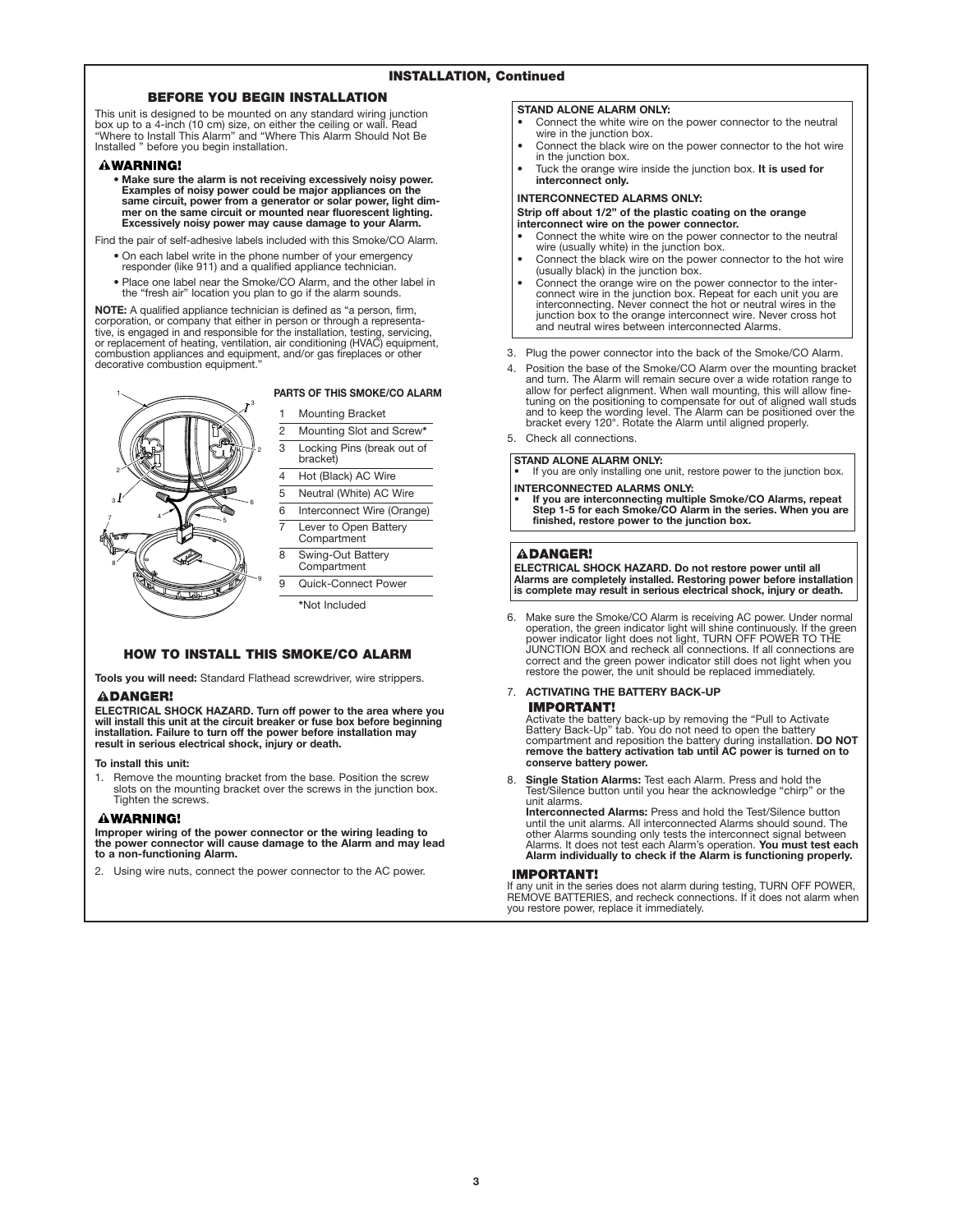## **BEFORE YOU BEGIN INSTALLATION**

This unit is designed to be mounted on any standard wiring junction box up to a 4-inch (10 cm) size, on either the ceiling or wall. Read "Where to Install This Alarm" and "Where This Alarm Should Not Be Installed " before you begin installation.

#### **AWARNING!**

**• Make sure the alarm is not receiving excessively noisy power. Examples of noisy power could be major appliances on the same circuit, power from a generator or solar power, light dimmer on the same circuit or mounted near fluorescent lighting. Excessively noisy power may cause damage to your Alarm.**

Find the pair of self-adhesive labels included with this Smoke/CO Alarm.

- On each label write in the phone number of your emergency responder (like 911) and a qualified appliance technician.
- 
- Place one label near the Smoke/CO Alarm, and the other label in the "fresh air" location you plan to go if the alarm sounds.

**NOTE:** A qualified appliance technician is defined as "a person, firm, corporation, or company that either in person or through a representa-<br>tive, is engaged in and responsible for the installation, testing, servicing,<br>or replacement of heating, ventilation, air conditioning (HVAC) equipment combustion appliances and equipment, and/or gas fireplaces or other decorative combustion equipment."



#### **PARTS OF THIS SMOKE/CO ALARM**

**Mounting Bracket** 

2 Mounting Slot and Screw**\*** 3 Locking Pins (break out of

- bracket)
- 4 Hot (Black) AC Wire
- 5 Neutral (White) AC Wire

6 Interconnect Wire (Orange) 7 Lever to Open Battery

Compartment 8 Swing-Out Battery

**Compartment** 9 Quick-Connect Power

**\***Not Included

# **HOW TO INSTALL THIS SMOKE/CO ALARM**

**Tools you will need:** Standard Flathead screwdriver, wire strippers. **ADANGER!** 

**ELECTRICAL SHOCK HAZARD. Turn off power to the area where you will install this unit at the circuit breaker or fuse box before beginning installation. Failure to turn off the power before installation may result in serious electrical shock, injury or death.**

#### **To install this unit:**

1. Remove the mounting bracket from the base. Position the screw slots on the mounting bracket over the screws in the junction box. Tighten the screws.

## **AWARNING!**

**Improper wiring of the power connector or the wiring leading to the power connector will cause damage to the Alarm and may lead to a non-functioning Alarm.**

2. Using wire nuts, connect the power connector to the AC power.

#### **STAND ALONE ALARM ONLY:**

- Connect the white wire on the power connector to the neutral wire in the junction box.
- Connect the black wire on the power connector to the hot wire in the junction box.
- Tuck the orange wire inside the junction box. **It is used for interconnect only.**

# **INTERCONNECTED ALARMS ONLY:**

#### **Strip off about 1/2" of the plastic coating on the orange interconnect wire on the power connector.**

- Connect the white wire on the power connector to the neutral wire (usually white) in the junction box.
- Connect the black wire on the power connector to the hot wire (usually black) in the junction box.
- Connect the orange wire on the power connector to the inter- connect wire in the junction box. Repeat for each unit you are interconnecting. Never connect the hot or neutral wires in the junction box to the orange interconnect wire. Never cross hot and neutral wires between interconnected Alarms.
- 3. Plug the power connector into the back of the Smoke/CO Alarm.
- Position the base of the Smoke/CO Alarm over the mounting bracket and turn. The Alarm will remain secure over a wide rotation range to allow for perfect alignment. When wall mounting, this will allow finetuning on the positioning to compensate for out of aligned wall studs and to keep the wording level. The Alarm can be positioned over the bracket every 120°. Rotate the Alarm until aligned properly.
- 5. Check all connections.

**STAND ALONE ALARM ONLY:**

If you are only installing one unit, restore power to the junction box. **INTERCONNECTED ALARMS ONLY:**

**• If you are interconnecting multiple Smoke/CO Alarms, repeat Step 1-5 for each Smoke/CO Alarm in the series. When you are finished, restore power to the junction box.**

## **ADANGER!**

**ELECTRICAL SHOCK HAZARD. Do not restore power until all Alarms are completely installed. Restoring power before installation is complete may result in serious electrical shock, injury or death.**

6. Make sure the Smoke/CO Alarm is receiving AC power. Under normal operation, the green indicator light will shine continuously. If the green power indicator light does not light, TURN OFF POWER TO THE correct and the green power indicator still does not light when you restore the power, the unit should be replaced immediately.

# 7. **ACTIVATING THE BATTERY BACK-UP IMPORTANT!**

Activate the battery back-up by removing the "Pull to Activate<br>Battery Back-Up" tab. You do not need to open the battery<br>compartment and reposition the battery during installation. **DO NOT**<br>remove the battery activation ta **conserve battery power.**

8. **Single Station Alarms:** Test each Alarm. Press and hold the Test/Silence button until you hear the acknowledge "chirp" or the unit alarms.

**Interconnected Alarms:** Press and hold the Test/Silence button until the unit alarms. All interconnected Alarms should sound. The other Alarms sounding only tests the interconnect signal between Alarms. It does not test each Alarm's operation. **You must test each Alarm individually to check if the Alarm is functioning properly.**

#### **IMPORTANT!**

If any unit in the series does not alarm during testing, TURN OFF POWER, REMOVE BATTERIES, and recheck connections. If it does not alarm when you restore power, replace it immediately.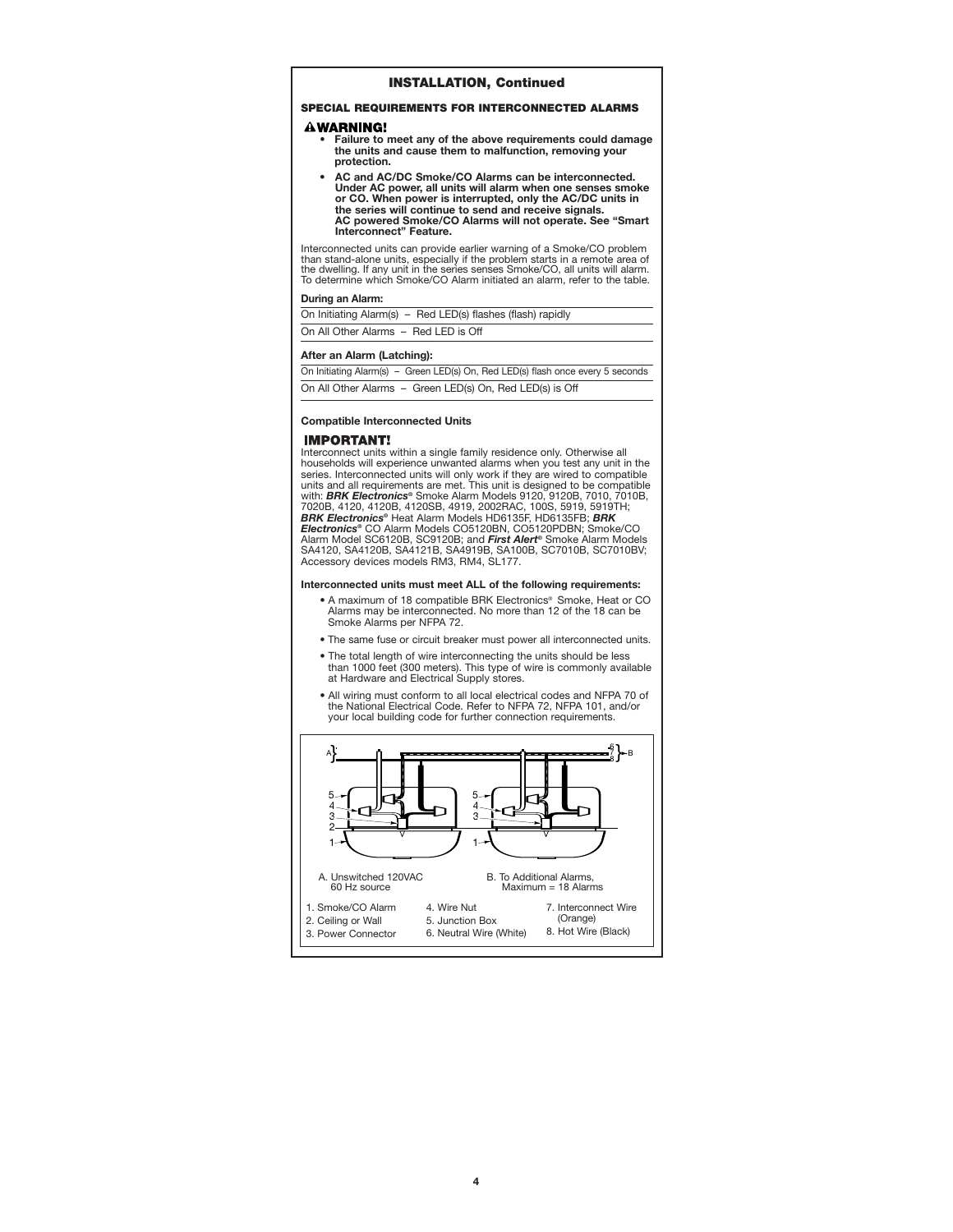## **INSTALLATION, Continued**

# **SPECIAL REQUIREMENTS FOR INTERCONNECTED ALARMS**

#### **AWARNING!**

- **Failure to meet any of the above requirements could damage the units and cause them to malfunction, removing your protection.**
- **AC and AC/DC Smoke/CO Alarms can be interconnected. Under AC power, all units will alarm when one senses smoke or CO. When power is interrupted, only the AC/DC units in the series will continue to send and receive signals. AC powered Smoke/CO Alarms will not operate. See "Smart Interconnect" Feature.**

Interconnected units can provide earlier warning of a Smoke/CO problem<br>than stand-alone units, especially if the problem starts in a remote area of<br>the dwelling. If any unit in the series senses Smoke/CO, all units will al

#### **During an Alarm:**

| On Initiating Alarm(s) - Red LED(s) flashes (flash) rapidly |  |
|-------------------------------------------------------------|--|
| On All Other Alarms - Red LED is Off                        |  |

#### **After an Alarm (Latching):**

| On Initiating Alarm(s) - Green LED(s) On, Red LED(s) flash once every 5 seconds |
|---------------------------------------------------------------------------------|
| On All Other Alarms - Green LED(s) On, Red LED(s) is Off                        |

#### **Compatible Interconnected Units**

#### **IMPORTANT!**

Interconnect units within a single family residence only. Otherwise all households will experience unwanted alarms when you test any unit in the series. Interconnected units will only work if they are wired to compatible<br>units and all requirements are met. This unit is designed to be compatible<br>with: **BRK Electronics®** Smoke Alarm Models 9120, 9120B, 7010, 7010B, 7020B, 4120, 4120B, 4120SB, 4919, 2002RAC, 100S, 5919, 5919TH; *BRK Electronics®* Heat Alarm Models HD6135F, HD6135FB; *BRK Electronics®* CO Alarm Models CO5120BN, CO5120PDBN; Smoke/CO Alarm Model SC6120B, SC9120B; and *First Alert®* Smoke Alarm Models<br>SA4120, SA4120B, SA4121B, SA4919B, SA100B, SC7010B, SC7010BV;<br>Accessory devices models RM3, RM4, SL177.

#### **Interconnected units must meet ALL of the following requirements:**

- A maximum of 18 compatible BRK Electronics® Smoke, Heat or CO Alarms may be interconnected. No more than 12 of the 18 can be Smoke Alarms per NFPA 72.
- The same fuse or circuit breaker must power all interconnected units.
- The total length of wire interconnecting the units should be less than 1000 feet (300 meters). This type of wire is commonly available at Hardware and Electrical Supply stores.
- All wiring must conform to all local electrical codes and NFPA 70 of the National Electrical Code. Refer to NFPA 72, NFPA 101, and/or your local building code for further connection requirements.

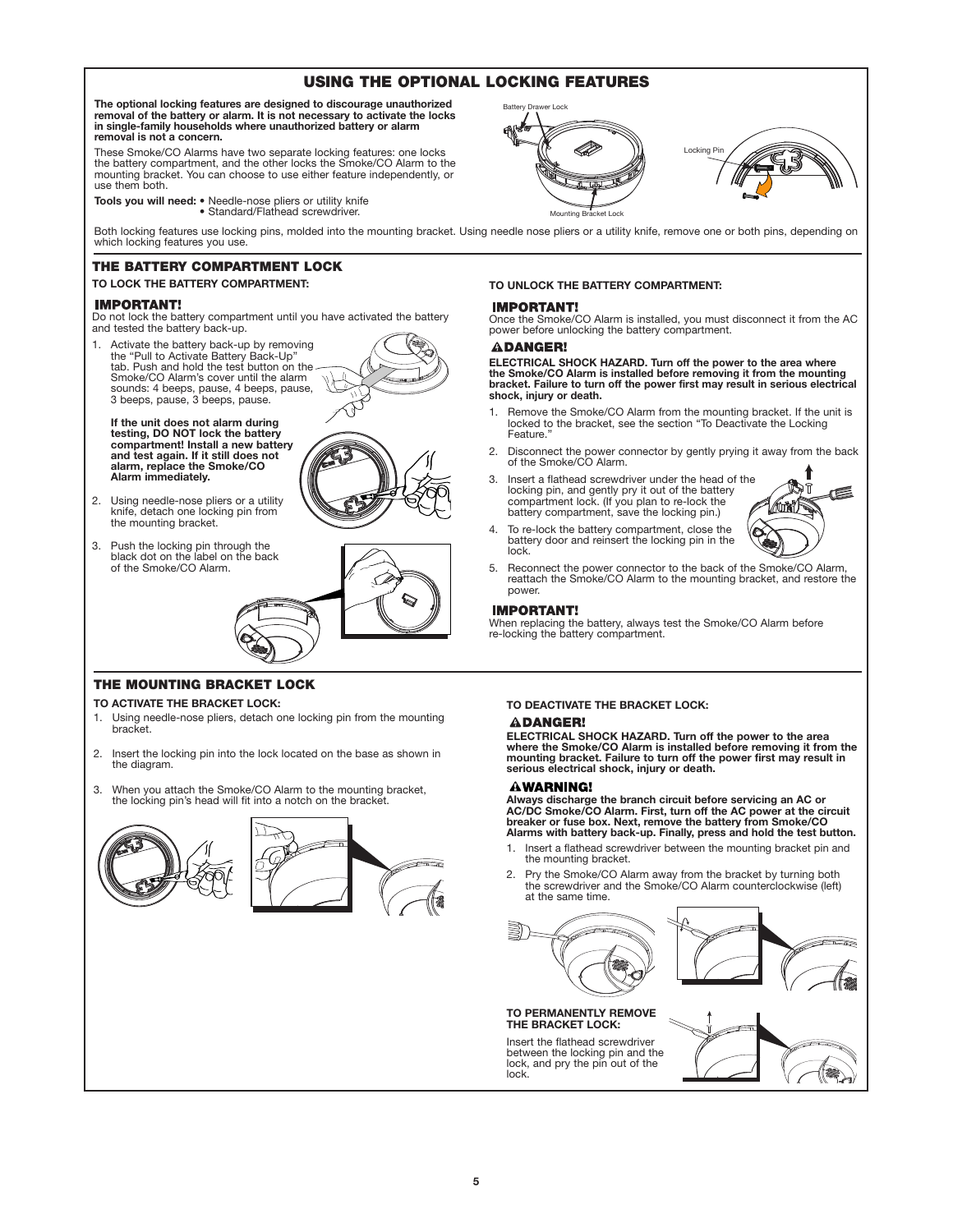# **USING THE OPTIONAL LOCKING FEATURES**

The optional locking features are designed to discourage unauthorized<br>removal of the battery or alarm. It is not necessary to activate the locks<br>in single-family households where unauthorized battery or alarm **removal is not a concern.**

These Smoke/CO Alarms have two separate locking features: one locks the battery compartment, and the other locks the Smoke/CO Alarm to the mounting bracket. You can choose to use either feature independently, or use them both.

**Tools you will need:** • Needle-nose pliers or utility knife • Standard/Flathead screwdriver.

Both locking features use locking pins, molded into the mounting bracket. Using needle nose pliers or a utility knife, remove one or both pins, depending on which locking features you use.

# **THE BATTERY COMPARTMENT LOCK**

#### **TO LOCK THE BATTERY COMPARTMENT:**

#### **IMPORTANT!**

Do not lock the battery compartment until you have activated the battery and tested the battery back-up.

1. Activate the battery back-up by removing the "Pull to Activate Battery Back-Up" tab. Push and hold the test button on the Smoke/CO Alarm's cover until the alarm sounds: 4 beeps, pause, 4 beeps, pause, 3 beeps, pause, 3 beeps, pause.

**If the unit does not alarm during testing, DO NOT lock the battery compartment! Install a new battery and test again. If it still does not alarm, replace the Smoke/CO Alarm immediately.**

- 2. Using needle-nose pliers or a utility knife, detach one locking pin from the mounting bracket.
- 3. Push the locking pin through the black dot on the label on the back of the Smoke/CO Alarm.



**IMPORTANT!** 

**TO UNLOCK THE BATTERY COMPARTMENT:**

Mounting Bracket Lock

Once the Smoke/CO Alarm is installed, you must disconnect it from the AC power before unlocking the battery compartment.

Locking Pin

# **ADANGER!**

Battery Drawer Lock

**ELECTRICAL SHOCK HAZARD. Turn off the power to the area where the Smoke/CO Alarm is installed before removing it from the mounting bracket. Failure to turn off the power first may result in serious electrical shock, injury or death.**

- 1. Remove the Smoke/CO Alarm from the mounting bracket. If the unit is locked to the bracket, see the section "To Deactivate the Locking Feature.
- 2. Disconnect the power connector by gently prying it away from the back of the Smoke/CO Alarm.
- 3. Insert a flathead screwdriver under the head of the locking pin, and gently pry it out of the battery compartment lock. (If you plan to re-lock the battery compartment, save the locking pin.)



- 4. To re-lock the battery compartment, close the battery door and reinsert the locking pin in the lock.
- 5. Reconnect the power connector to the back of the Smoke/CO Alarm, reattach the Smoke/CO Alarm to the mounting bracket, and restore the power.

# **IMPORTANT!**

When replacing the battery, always test the Smoke/CO Alarm before re-locking the battery compartment.

# **THE MOUNTING BRACKET LOCK**

#### **TO ACTIVATE THE BRACKET LOCK:**

- 1. Using needle-nose pliers, detach one locking pin from the mounting bracket.
- 2. Insert the locking pin into the lock located on the base as shown in the diagram.
- 3. When you attach the Smoke/CO Alarm to the mounting bracket, the locking pin's head will fit into a notch on the bracket.



# **TO DEACTIVATE THE BRACKET LOCK:**

# **ADANGER!**

**ELECTRICAL SHOCK HAZARD. Turn off the power to the area where the Smoke/CO Alarm is installed before removing it from the mounting bracket. Failure to turn off the power first may result in serious electrical shock, injury or death.**

#### **AWARNING!**

**Always discharge the branch circuit before servicing an AC or AC/DC Smoke/CO Alarm. First, turn off the AC power at the circuit breaker or fuse box. Next, remove the battery from Smoke/CO Alarms with battery back-up. Finally, press and hold the test button.**

- 1. Insert a flathead screwdriver between the mounting bracket pin and the mounting bracket.
- 2. Pry the Smoke/CO Alarm away from the bracket by turning both the screwdriver and the Smoke/CO Alarm counterclockwise (left) at the same time.





Insert the flathead screwdriver between the locking pin and the lock, and pry the pin out of the lock.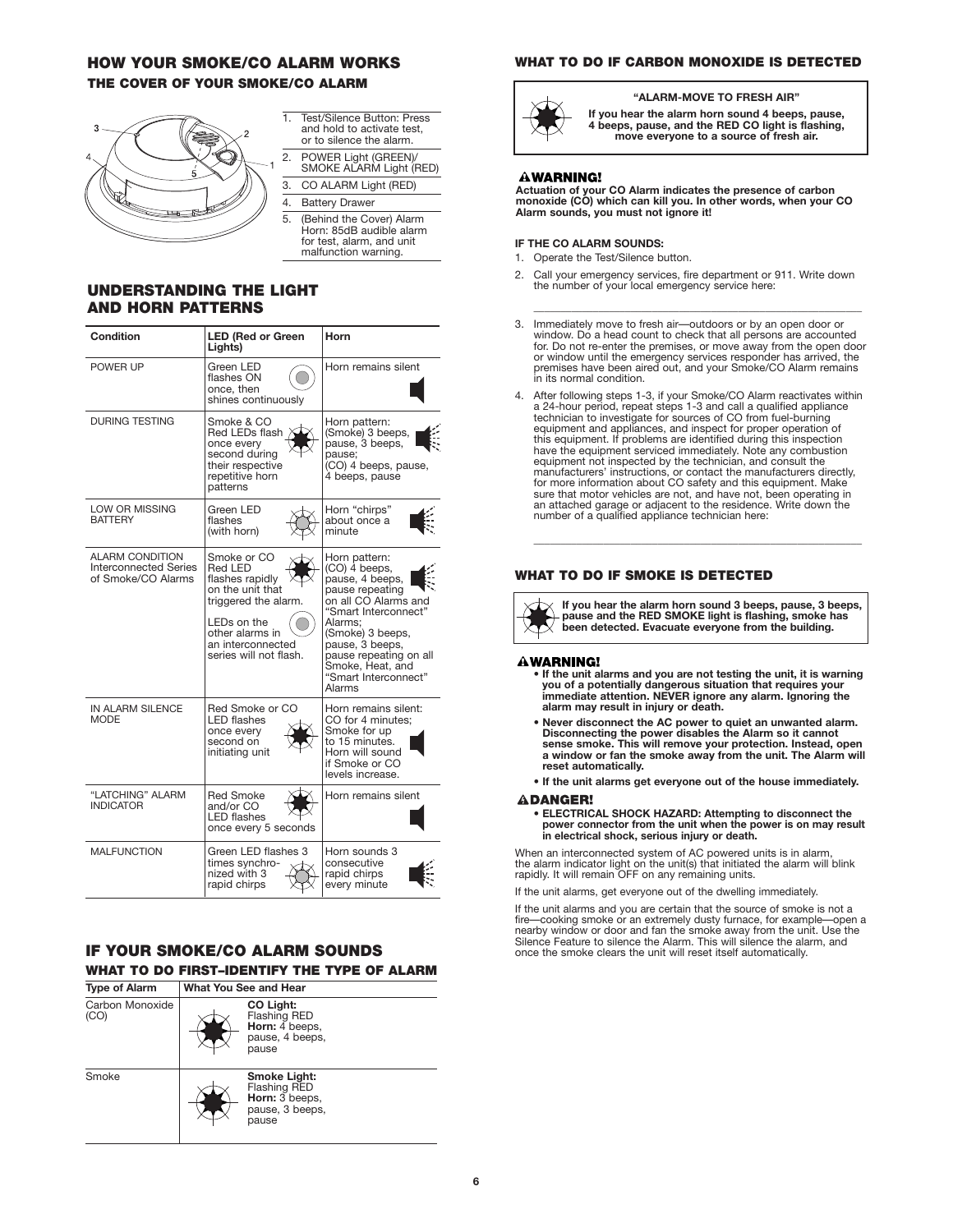# **HOW YOUR SMOKE/CO ALARM WORKS THE COVER OF YOUR SMOKE/CO ALARM**



- 1. Test/Silence Button: Press and hold to activate test, or to silence the alarm.
- 2. POWER Light (GREEN)/ SMOKE ALARM Light (RED) 3. CO ALARM Light (RED)
- 4. Battery Drawer
- 5. (Behind the Cover) Alarm Horn: 85dB audible alarm for test, alarm, and unit malfunction warning.

# **UNDERSTANDING THE LIGHT AND HORN PATTERNS**

| Condition                                                                    | <b>LED (Red or Green</b><br>Lights)                                                                                                                                    | Horn                                                                                                                                                                                                                                                   |
|------------------------------------------------------------------------------|------------------------------------------------------------------------------------------------------------------------------------------------------------------------|--------------------------------------------------------------------------------------------------------------------------------------------------------------------------------------------------------------------------------------------------------|
| POWER UP                                                                     | Green LED<br>flashes ON<br>once, then<br>shines continuously                                                                                                           | Horn remains silent                                                                                                                                                                                                                                    |
| <b>DURING TESTING</b>                                                        | Smoke & CO<br>Red LEDs flash<br>once every<br>second during<br>their respective<br>repetitive horn<br>patterns                                                         | Horn pattern:<br>(Smoke) 3 beeps,<br>pause, 3 beeps,<br>pause:<br>(CO) 4 beeps, pause,<br>4 beeps, pause                                                                                                                                               |
| LOW OR MISSING<br><b>BATTERY</b>                                             | Green LED<br>flashes<br>(with horn)                                                                                                                                    | Horn "chirps"<br>about once a<br>minute                                                                                                                                                                                                                |
| <b>ALARM CONDITION</b><br><b>Interconnected Series</b><br>of Smoke/CO Alarms | Smoke or CO<br>Red LED<br>flashes rapidly<br>on the unit that<br>triggered the alarm.<br>LEDs on the<br>other alarms in<br>an interconnected<br>series will not flash. | Horn pattern:<br>(CO) 4 beeps,<br>pause, 4 beeps,<br>pause repeating<br>on all CO Alarms and<br>"Smart Interconnect"<br>Alarms;<br>(Smoke) 3 beeps,<br>pause, 3 beeps,<br>pause repeating on all<br>Smoke, Heat, and<br>"Smart Interconnect"<br>Alarms |
| IN ALARM SILENCE<br><b>MODE</b>                                              | Red Smoke or CO<br><b>LED flashes</b><br>once every<br>second on<br>initiating unit                                                                                    | Horn remains silent:<br>CO for 4 minutes;<br>Smoke for up<br>to 15 minutes.<br>Horn will sound<br>if Smoke or CO<br>levels increase.                                                                                                                   |
| "LATCHING" ALARM<br><b>INDICATOR</b>                                         | <b>Red Smoke</b><br>and/or CO<br><b>LED</b> flashes<br>once every 5 seconds                                                                                            | Horn remains silent                                                                                                                                                                                                                                    |
| <b>MALFUNCTION</b>                                                           | Green LED flashes 3<br>times svnchro-<br>nized with 3<br>rapid chirps                                                                                                  | Horn sounds 3<br>consecutive<br>rapid chirps<br>every minute                                                                                                                                                                                           |

# **IF YOUR SMOKE/CO ALARM SOUNDS WHAT TO DO FIRST–IDENTIFY THE TYPE OF ALARM**

| <b>Type of Alarm</b>    | What You See and Hear                                                             |
|-------------------------|-----------------------------------------------------------------------------------|
| Carbon Monoxide<br>(CO) | CO Light:<br><b>Flashing RED</b><br>Horn: 4 beeps.<br>pause, 4 beeps,<br>pause    |
| Smoke                   | Smoke Light:<br><b>Flashing RED</b><br>Horn: 3 beeps.<br>pause, 3 beeps,<br>pause |

# **WHAT TO DO IF CARBON MONOXIDE IS DETECTED**



# **"ALARM-MOVE TO FRESH AIR"**

**If you hear the alarm horn sound 4 beeps, pause, 4 beeps, pause, and the RED CO light is flashing, move everyone to a source of fresh air.** 

# **AWARNING!**

**Actuation of your CO Alarm indicates the presence of carbon monoxide (CO) which can kill you. In other words, when your CO Alarm sounds, you must not ignore it!**

## **IF THE CO ALARM SOUNDS:**

- 1. Operate the Test/Silence button.
- 2. Call your emergency services, fire department or 911. Write down the number of your local emergency service here:
- 3. Immediately move to fresh air—outdoors or by an open door or window. Do a head count to check that all persons are accounted for. Do not re-enter the premises, or move away from the open door or window until the emergency services responder has arrived, the premises have been aired out, and your Smoke/CO Alarm remains in its normal condition.

\_\_\_\_\_\_\_\_\_\_\_\_\_\_\_\_\_\_\_\_\_\_\_\_\_\_\_\_\_\_\_\_\_\_\_\_\_\_\_\_\_\_\_\_\_\_\_\_\_\_\_\_\_\_\_\_\_\_\_\_\_

4. After following steps 1-3, if your Smoke/CO Alarm reactivates within a 24-hour period, repeat steps 1-3 and call a qualified appliance technician to investigate for sources of CO from fuel-burning equipment and appliances, and inspect for proper operation of this equipment. If problems are identified during this inspection have the equipment serviced immediately. Note any combustion equipment not inspected by the technician, and consult the<br>manufacturers' instructions, or contact the manufacturers directly,<br>for more information about CO safety and this equipment. Make sure that motor vehicles are not, and have not, been operating in<br>an attached garage or adjacent to the residence. Write down the<br>number of a qualified appliance technician here:

# **WHAT TO DO IF SMOKE IS DETECTED**

**If you hear the alarm horn sound 3 beeps, pause, 3 beeps, pause and the RED SMOKE light is flashing, smoke has been detected. Evacuate everyone from the building.**

 $\overline{\phantom{a}}$  , and the contribution of the contribution of the contribution of the contribution of the contribution of the contribution of the contribution of the contribution of the contribution of the contribution of the

## **AWARNING!**

- **If the unit alarms and you are not testing the unit, it is warning you of a potentially dangerous situation that requires your immediate attention. NEVER ignore any alarm. Ignoring the alarm may result in injury or death.**
- **Never disconnect the AC power to quiet an unwanted alarm. Disconnecting the power disables the Alarm so it cannot sense smoke. This will remove your protection. Instead, open a window or fan the smoke away from the unit. The Alarm will reset automatically.**
- **If the unit alarms get everyone out of the house immediately.**

#### **ADANGER!**

**• ELECTRICAL SHOCK HAZARD: Attempting to disconnect the power connector from the unit when the power is on may result in electrical shock, serious injury or death.**

When an interconnected system of AC powered units is in alarm, the alarm indicator light on the unit(s) that initiated the alarm will blink rapidly. It will remain OFF on any remaining units.

If the unit alarms, get everyone out of the dwelling immediately.

If the unit alarms and you are certain that the source of smoke is not a fire—cooking smoke or an extremely dusty furnace, for example—open a<br>nearby window or door and fan the smoke away from the unit. Use the<br>Silence Feature to silence the Alarm. This will silence the alarm, and once the smoke clears the unit will reset itself automatically.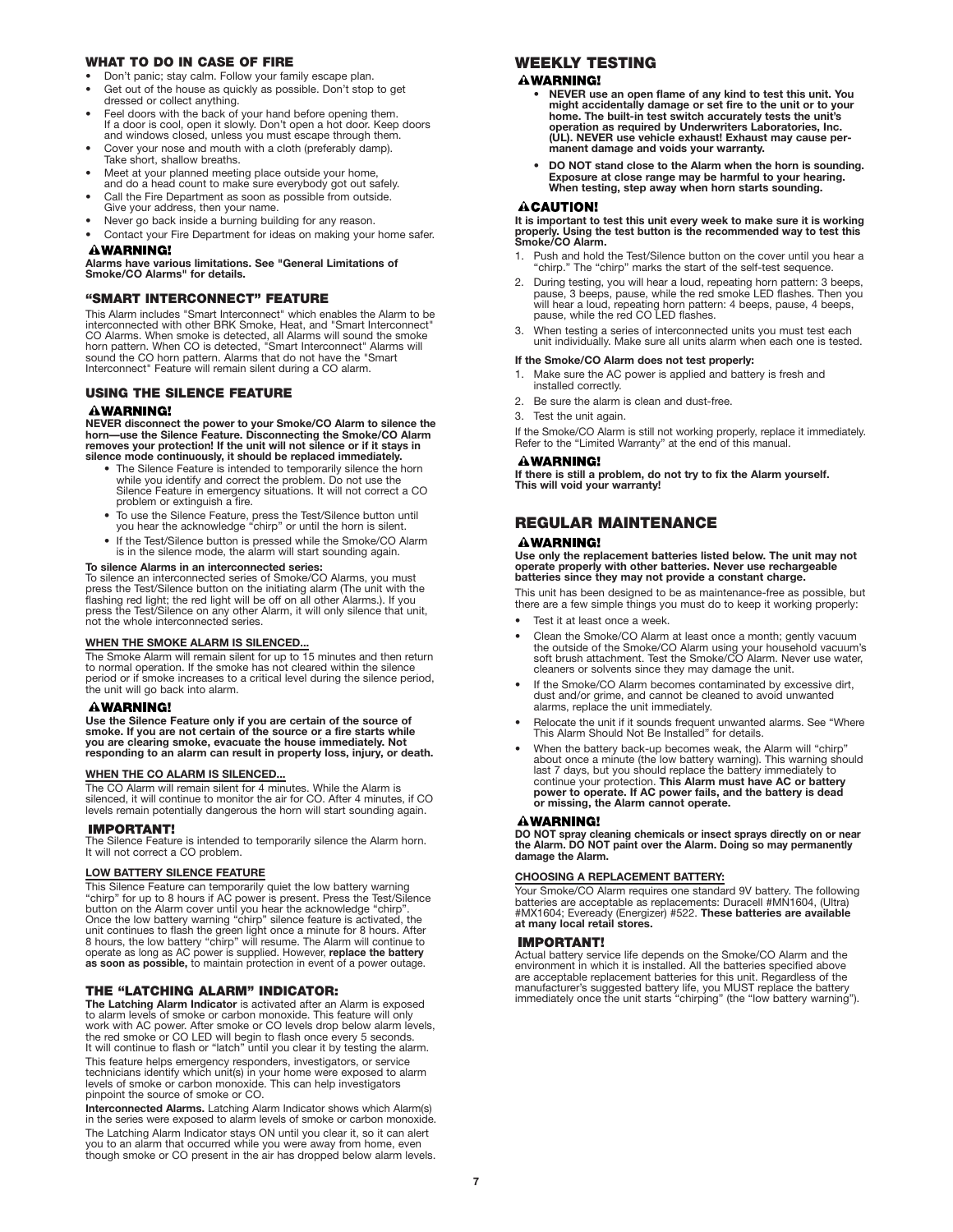# **WHAT TO DO IN CASE OF FIRE**

- Don't panic; stay calm. Follow your family escape plan.
- Get out of the house as quickly as possible. Don't stop to get dressed or collect anything.
- Feel doors with the back of your hand before opening them. If a door is cool, open it slowly. Don't open a hot door. Keep doors and windows closed, unless you must escape through them.
- Cover your nose and mouth with a cloth (preferably damp). Take short, shallow breaths.
- Meet at your planned meeting place outside your home, and do a head count to make sure everybody got out safely.
- Call the Fire Department as soon as possible from outside. Give your address, then your name.
- Never go back inside a burning building for any reason.
- Contact your Fire Department for ideas on making your home safer. **AWARNING!**

**Alarms have various limitations. See "General Limitations of Smoke/CO Alarms" for details.**

# **"SMART INTERCONNECT" FEATURE**

This Alarm includes "Smart Interconnect" which enables the Alarm to be interconnected with other BRK Smoke, Heat, and "Smart Interconnect" CO Alarms. When smoke is detected, all Alarms will sound the smoke<br>horn pattern. When CO is detected, "Smart Interconnect" Alarms will<br>sound the CO horn pattern. Alarms that do not have the "Smart Interconnect" Feature will remain silent during a CO alarm.

# **USING THE SILENCE FEATURE**

# **AWARNING!**

NEVER disconnect the power to your Smoke/CO Alarm to silence the<br>horn—use the Silence Feature. Disconnecting the Smoke/CO Alarm<br>removes your protection! If the unit will not silence or if it stays in<br>silence mode continuou

- The Silence Feature is intended to temporarily silence the horn while you identify and correct the problem. Do not use the Silence Feature in emergency situations. It will not correct a CO problem or extinguish a fire.
- To use the Silence Feature, press the Test/Silence button until you hear the acknowledge "chirp" or until the horn is silent.
- If the Test/Silence button is pressed while the Smoke/CO Alarm is in the silence mode, the alarm will start sounding again.

## **To silence Alarms in an interconnected series:**

To silence an interconnected series of Smoke/CO Alarms, you must<br>press the Test/Silence button on the initiating alarm (The unit with the<br>flashing red light; the red light will be off on all other Alarms.). If you press the Test/Silence on any other Alarm, it will only silence that unit, not the whole interconnected series.

# **WHEN THE SMOKE ALARM IS SILENCED...**

The Smoke Alarm will remain silent for up to 15 minutes and then return to normal operation. If the smoke has not cleared within the silence period or if smoke increases to a critical level during the silence period, the unit will go back into alarm.

## **AWARNING!**

**Use the Silence Feature only if you are certain of the source of smoke. If you are not certain of the source or a fire starts while you are clearing smoke, evacuate the house immediately. Not responding to an alarm can result in property loss, injury, or death.**

#### **WHEN THE CO ALARM IS SILENCED...**

The CO Alarm will remain silent for 4 minutes. While the Alarm is<br>silenced, it will continue to monitor the air for CO. After 4 minutes, if CO<br>levels remain potentially dangerous the horn will start sounding again.

## **IMPORTANT!**

The Silence Feature is intended to temporarily silence the Alarm horn. It will not correct a CO problem.

## **LOW BATTERY SILENCE FEATURE**

This Silence Feature can temporarily quiet the low battery warning<br>"chirp" for up to 8 hours if AC power is present. Press the Test/Silence<br>button on the Alarm cover until you hear the acknowledge "chirp". Once the low battery warning "chirp" silence feature is activated, the<br>unit continues to flash the green light once a minute for 8 hours. After<br>8 hours, the low battery "chirp" will resume. The Alarm will continue to operate as long as AC power is supplied. However, **replace the battery as soon as possible,** to maintain protection in event of a power outage.

## **THE "LATCHING ALARM" INDICATOR:**

**The Latching Alarm Indicator** is activated after an Alarm is exposed to alarm levels of smoke or carbon monoxide. This feature will only work with AC power. After smoke or CO levels drop below alarm levels,<br>the red smoke or CO LED will begin to flash once every 5 seconds.<br>It will continue to flash or "latch" until you clear it by testing the alarm. This feature helps emergency responders, investigators, or service<br>technicians identify which unit(s) in your home were exposed to alarm<br>levels of smoke or carbon monoxide. This can help investigators pinpoint the source of smoke or CO.

**Interconnected Alarms.** Latching Alarm Indicator shows which Alarm(s) in the series were exposed to alarm levels of smoke or carbon monoxide. The Latching Alarm Indicator stays ON until you clear it, so it can alert you to an alarm that occurred while you were away from home, even though smoke or CO present in the air has dropped below alarm levels.

# **WEEKLY TESTING**

## **AWARNING!**

- **NEVER use an open flame of any kind to test this unit. You might accidentally damage or set fire to the unit or to your home. The built-in test switch accurately tests the unit's operation as required by Underwriters Laboratories, Inc. (UL). NEVER use vehicle exhaust! Exhaust may cause per-manent damage and voids your warranty.**
- **DO NOT stand close to the Alarm when the horn is sounding. Exposure at close range may be harmful to your hearing. When testing, step away when horn starts sounding.**

#### **ACAUTION!**

**It is important to test this unit every week to make sure it is working properly. Using the test button is the recommended way to test this Smoke/CO Alarm.**

- 1. Push and hold the Test/Silence button on the cover until you hear a "chirp." The "chirp" marks the start of the self-test sequence.
- 2. During testing, you will hear a loud, repeating horn pattern: 3 beeps, pause, ause, pause, will hear a loud, repeating horn pattern: 4 beeps, pause, 4 beeps, pause, while the red SCO LED flashes. Then you pause, while t
- 3. When testing a series of interconnected units you must test each unit individually. Make sure all units alarm when each one is tested.

#### **If the Smoke/CO Alarm does not test properly:**

- 1. Make sure the AC power is applied and battery is fresh and installed correctly.
- 2. Be sure the alarm is clean and dust-free.
- 3. Test the unit again.

If the Smoke/CO Alarm is still not working properly, replace it immediately. Refer to the "Limited Warranty" at the end of this manual.

#### **AWARNING!**

**If there is still a problem, do not try to fix the Alarm yourself. This will void your warranty!**

# **REGULAR MAINTENANCE**

#### **AWARNING!**

**Use only the replacement batteries listed below. The unit may not operate properly with other batteries. Never use rechargeable batteries since they may not provide a constant charge.**

This unit has been designed to be as maintenance-free as possible, but there are a few simple things you must do to keep it working properly:

- Test it at least once a week.
- Clean the Smoke/CO Alarm at least once a month; gently vacuum the outside of the Smoke/CO Alarm using your household vacuum's soft brush attachment. Test the Smoke/CO Alarm. Never use water, cleaners or solvents since they may damage the unit.
- If the Smoke/CO Alarm becomes contaminated by excessive dirt, dust and/or grime, and cannot be cleaned to avoid unwanted alarms, replace the unit immediately.
- Relocate the unit if it sounds frequent unwanted alarms. See "Where This Alarm Should Not Be Installed" for details.
- When the battery back-up becomes weak, the Alarm will "chirp" about once a minute (the low battery warning). This warning should last 7 days, but you should replace the battery immediately to continue your protection. **This Alarm must have AC or battery power to operate. If AC power fails, and the battery is dead or missing, the Alarm cannot operate.**

#### **AWARNING!**

**DO NOT spray cleaning chemicals or insect sprays directly on or near the Alarm. DO NOT paint over the Alarm. Doing so may permanently damage the Alarm.**

#### **CHOOSING A REPLACEMENT BATTERY:**

Your Smoke/CO Alarm requires one standard 9V battery. The following batteries are acceptable as replacements: Duracell #MN1604, (Ultra) #MX1604; Eveready (Energizer) #522. **These batteries are available at many local retail stores.**

# **IMPORTANT!**

Actual battery service life depends on the Smoke/CO Alarm and the environment in which it is installed. All the batteries specified above are acceptable replacement batteries for this unit. Regardless of the manufacturer's suggested battery life, you MUST replace the battery immediately once the unit starts "chirping" (the "low battery warning").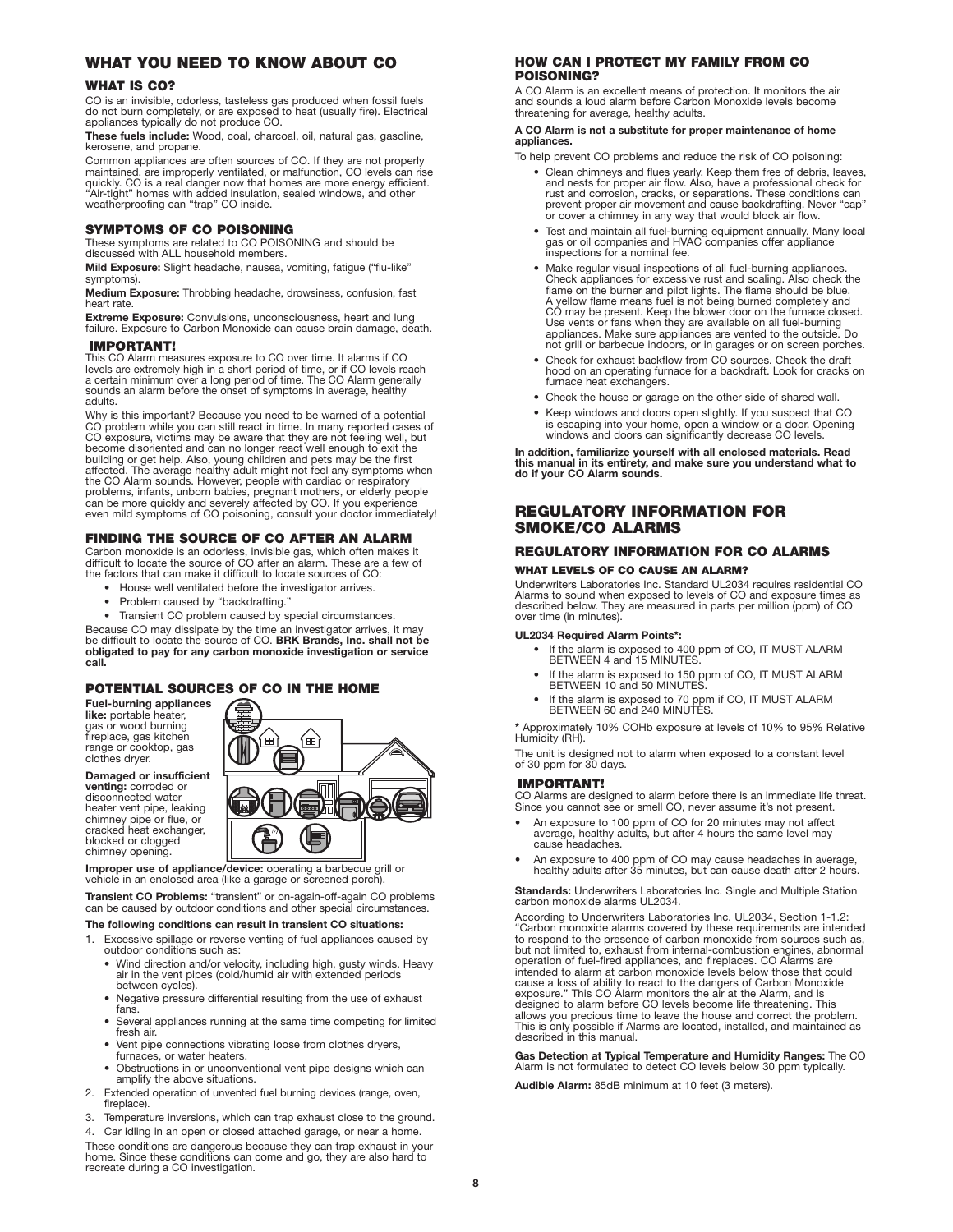# **WHAT YOU NEED TO KNOW ABOUT CO**

## **WHAT IS CO?**

CO is an invisible, odorless, tasteless gas produced when fossil fuels do not burn completely, or are exposed to heat (usually fire). Electrical appliances typically do not produce CO.

**These fuels include:** Wood, coal, charcoal, oil, natural gas, gasoline, kerosene, and propane.

Common appliances are often sources of CO. If they are not properly maintained, are improperly ventilated, or malfunction, CO levels can rise quickly. CO is a real danger now that homes are more energy efficient. "Air-tight" homes with added insulation, sealed windows, and other weatherproofing can "trap" CO inside.

## **SYMPTOMS OF CO POISONING**

These symptoms are related to CO POISONING and should be discussed with ALL household members.

**Mild Exposure:** Slight headache, nausea, vomiting, fatigue ("flu-like" symptoms).

**Medium Exposure:** Throbbing headache, drowsiness, confusion, fast heart rate.

**Extreme Exposure:** Convulsions, unconsciousness, heart and lung failure. Exposure to Carbon Monoxide can cause brain damage, death.

## **IMPORTANT!**

This CO Alarm measures exposure to CO over time. It alarms if CO levels are extremely high in a short period of time, or if CO levels reach a certain minimum over a long period of time. The CO Alarm generally sounds an alarm before the onset of symptoms in average, healthy adults.

Why is this important? Because you need to be warned of a potential<br>CO problem while you can still react in time. In many reported cases of<br>CO exposure, victims may be aware that they are not feeling well, but<br>become disor

# **FINDING THE SOURCE OF CO AFTER AN ALARM**

Carbon monoxide is an odorless, invisible gas, which often makes it difficult to locate the source of CO after an alarm. These are a few of the factors that can make it difficult to locate sources of CO:

- House well ventilated before the investigator arrives.
- 
- Problem caused by "backdrafting."

• Transient CO problem caused by special circumstances.

Because CO may dissipate by the time an investigator arrives, it may be difficult to locate the source of CO. **BRK Brands, Inc. shall not be obligated to pay for any carbon monoxide investigation or service call.**

# **POTENTIAL SOURCES OF CO IN THE HOME**

**Fuel-burning appliances like:** portable heater, gas or wood burning fireplace, gas kitchen range or cooktop, gas clothes dryer.

**Damaged or insufficient venting:** corroded or disconnected water heater vent pipe, leaking chimney pipe or flue, or cracked heat exchanger, blocked or clogged chimney opening.



**Improper use of appliance/device:** operating a barbecue grill or vehicle in an enclosed area (like a garage or screened porch).

**Transient CO Problems:** "transient" or on-again-off-again CO problems can be caused by outdoor conditions and other special circumstances.

#### **The following conditions can result in transient CO situations:**

- 1. Excessive spillage or reverse venting of fuel appliances caused by outdoor conditions such as:
	- Wind direction and/or velocity, including high, gusty winds. Heavy air in the vent pipes (cold/humid air with extended periods between cycles).
	- Negative pressure differential resulting from the use of exhaust fans.
	- Several appliances running at the same time competing for limited fresh air.
	- Vent pipe connections vibrating loose from clothes dryers, furnaces, or water heaters.
	- Obstructions in or unconventional vent pipe designs which can amplify the above situations.
- 2. Extended operation of unvented fuel burning devices (range, oven, fireplace).
- 3. Temperature inversions, which can trap exhaust close to the ground. Car idling in an open or closed attached garage, or near a home

These conditions are dangerous because they can trap exhaust in your home. Since these conditions can come and go, they are also hard to recreate during a CO investigation.

# **HOW CAN I PROTECT MY FAMILY FROM CO POISONING?**

A CO Alarm is an excellent means of protection. It monitors the air and sounds a loud alarm before Carbon Monoxide levels become threatening for average, healthy adults.

#### **A CO Alarm is not a substitute for proper maintenance of home appliances.**

To help prevent CO problems and reduce the risk of CO poisoning:

- Clean chimneys and flues yearly. Keep them free of debris, leaves, and nests for proper air flow. Also, have a professional check for rust and corrosion, cracks, or separations. These conditions can prevent proper air movement and cause backdrafting. Never "cap" or cover a chimney in any way that would block air flow.
- Test and maintain all fuel-burning equipment annually. Many local gas or oil companies and HVAC companies offer appliance inspections for a nominal fee.
- Make regular visual inspections of all fuel-burning appliances. Check appliances for excessive rust and scaling. Also check the<br>flame on the burner and pilot lights. The flame should be blue.<br>A yellow flame means fuel is not being burned completely and<br>CO may be present. Keep the blowe Use vents or fans when they are available on all fuel-burning appliances. Make sure appliances are vented to the outside. Do not grill or barbecue indoors, or in garages or on screen porches.
- Check for exhaust backflow from CO sources. Check the draft hood on an operating furnace for a backdraft. Look for cracks on furnace heat exchangers.
- Check the house or garage on the other side of shared wall.
- Keep windows and doors open slightly. If you suspect that CO is escaping into your home, open a window or a door. Opening windows and doors can significantly decrease CO levels.

**In addition, familiarize yourself with all enclosed materials. Read this manual in its entirety, and make sure you understand what to do if your CO Alarm sounds.**

# **REGULATORY INFORMATION FOR SMOKE/CO ALARMS**

# **REGULATORY INFORMATION FOR CO ALARMS WHAT LEVELS OF CO CAUSE AN ALARM?**

Underwriters Laboratories Inc. Standard UL2034 requires residential CO Alarms to sound when exposed to levels of CO and exposure times as described below. They are measured in parts per million (ppm) of CO over time (in minutes).

#### **UL2034 Required Alarm Points\*:**

- If the alarm is exposed to 400 ppm of CO, IT MUST ALARM BETWEEN 4 and 15 MINUTES.
- If the alarm is exposed to 150 ppm of CO, IT MUST ALARM BETWEEN 10 and 50 MINUTES.
- If the alarm is exposed to 70 ppm if CO, IT MUST ALARM BETWEEN 60 and 240 MINUTES.

**\*** Approximately 10% COHb exposure at levels of 10% to 95% Relative Humidity (RH).

The unit is designed not to alarm when exposed to a constant level of 30 ppm for 30 days.

# **IMPORTANT!**

CO Alarms are designed to alarm before there is an immediate life threat. Since you cannot see or smell CO, never assume it's not present.

- An exposure to 100 ppm of CO for 20 minutes may not affect average, healthy adults, but after 4 hours the same level may cause headaches.
- An exposure to 400 ppm of CO may cause headaches in average, An exposure to the ppm of so may cause healthcome in average, healthy adults after 35 minutes, but can cause death after 2 hours.

**Standards:** Underwriters Laboratories Inc. Single and Multiple Station carbon monoxide alarms UL2034.

According to Underwriters Laboratories Inc. UL2034, Section 1-1.2: "Carbon monoxide alarms covered by these requirements are intended to respond to the presence of carbon monoxide from sources such as, but not limited to, exhaust from internal-combustion engines, abnormal operation of fuel-fired appliances, and fireplaces. CO Alarms are intended to alarm at carbon monoxide levels below those that could cause a loss of ability to react to the dangers of Carbon Monoxide exposure." This CO Alarm monitors the air at the Alarm, and is designed to alarm before CO levels become life threatening. This<br>allows you precious time to leave the house and correct the problem.<br>This is only possible if Alarms are located, installed, and maintained as described in this manual.

**Gas Detection at Typical Temperature and Humidity Ranges:** The CO Alarm is not formulated to detect CO levels below 30 ppm typically.

**Audible Alarm:** 85dB minimum at 10 feet (3 meters).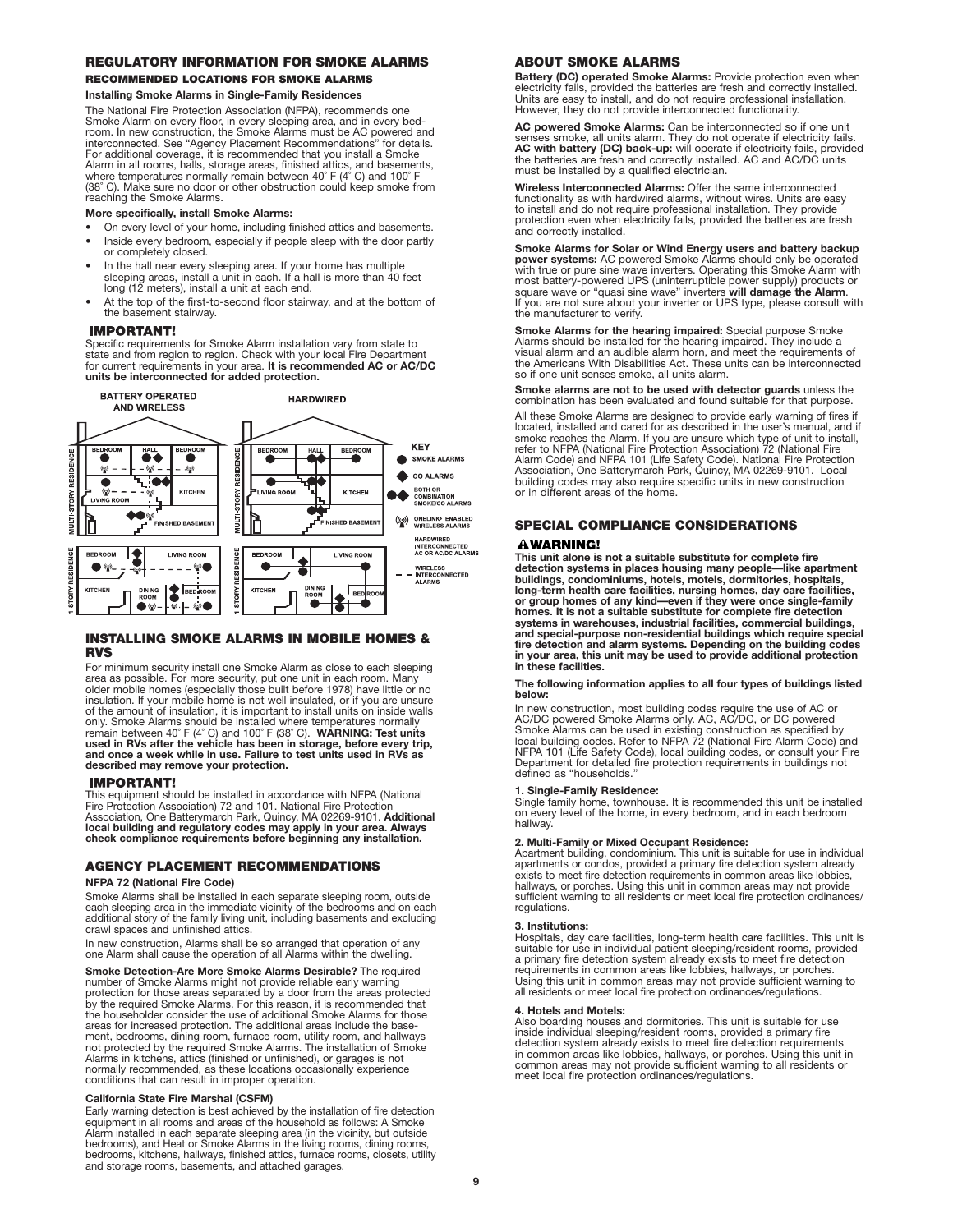# **REGULATORY INFORMATION FOR SMOKE ALARMS**

# **RECOMMENDED LOCATIONS FOR SMOKE ALARMS**

**Installing Smoke Alarms in Single-Family Residences**

The National Fire Protection Association (NFPA), recommends one Smoke Alarm on every floor, in every sleeping area, and in every bed-<br>room. In new construction, the Smoke Alarms must be AC powered and<br>interconnected. See "Agency Placement Recommendations" for details. For additional coverage, it is recommended that you install a Smoke<br>Alarm in all rooms, halls, storage areas, finished attics, and basements,<br>where temperatures normally remain between 40˚ F (4˚ C) and 100˚ F (38˚ C). Make sure no door or other obstruction could keep smoke from reaching the Smoke Alarms.

#### **More specifically, install Smoke Alarms:**

- On every level of your home, including finished attics and basements.
- Inside every bedroom, especially if people sleep with the door partly or completely closed.
- In the hall near every sleeping area. If your home has multiple sleeping areas, install a unit in each. If a hall is more than 40 feet long (12 meters), install a unit at each end.
- At the top of the first-to-second floor stairway, and at the bottom of the basement stairway.

#### **IMPORTANT!**

Specific requirements for Smoke Alarm installation vary from state to state and from region to region. Check with your local Fire Department for current requirements in your area. **It is recommended AC or AC/DC units be interconnected for added protection.**



## **INSTALLING SMOKE ALARMS IN MOBILE HOMES & RVS**

For minimum security install one Smoke Alarm as close to each sleeping area as possible. For more security, put one unit in each room. Many older mobile homes (especially those built before 1978) have little or no insulation. If your mobile home is not well insulated, or if you are unsure of the amount of insulation, it is important to install units on inside walls only. Smoke Alarms should be installed where temperatures normally remain between 40˚ F (4˚ C) and 100˚ F (38˚ C). **WARNING: Test units used in RVs after the vehicle has been in storage, before every trip, and once a week while in use. Failure to test units used in RVs as described may remove your protection.**

#### **IMPORTANT!**

This equipment should be installed in accordance with NFPA (National Fire Protection Association) 72 and 101. National Fire Protection Association, One Batterymarch Park, Quincy, MA 02269-9101. **Additional local building and regulatory codes may apply in your area. Always check compliance requirements before beginning any installation.**

## **AGENCY PLACEMENT RECOMMENDATIONS**

#### **NFPA 72 (National Fire Code)**

Smoke Alarms shall be installed in each separate sleeping room, outside each sleeping area in the immediate vicinity of the bedrooms and on each additional story of the family living unit, including basements and excluding crawl spaces and unfinished attics.

In new construction, Alarms shall be so arranged that operation of any one Alarm shall cause the operation of all Alarms within the dwelling.

**Smoke Detection-Are More Smoke Alarms Desirable?** The required number of Smoke Alarms might not provide reliable early warning protection for those areas separated by a door from the areas protected by the required Smoke Alarms. For this reason, it is recommended that the householder consider the use of additional Smoke Alarms for those areas for increased protection. The additional areas include the basement, bedrooms, dining room, furnace room, utility room, and hallways not protected by the required Smoke Alarms. The installation of Smoke Alarms in kitchens, attics (finished or unfinished), or garages is not normally recommended, as these locations occasionally experience conditions that can result in improper operation.

#### **California State Fire Marshal (CSFM)**

Early warning detection is best achieved by the installation of fire detection equipment in all rooms and areas of the household as follows: A Smoke Alarm installed in each separate sleeping area (in the vicinity, but outside<br>bedrooms), and Heat or Smoke Alarms in the living rooms, dining rooms,<br>bedrooms, kitchens, hallways, finished attics, furnace rooms, closets, uti and storage rooms, basements, and attached garages.

# **ABOUT SMOKE ALARMS**

**Battery (DC) operated Smoke Alarms:** Provide protection even when<br>electricity fails, provided the batteries are fresh and correctly installed.<br>Units are easy to install, and do not require professional installation. However, they do not provide interconnected functionality.

**AC powered Smoke Alarms:** Can be interconnected so if one unit<br>senses smoke, all units alarm. They do not operate if electricity fails.<br>**AC with battery (DC) back-up:** will operate if electricity fails, provided<br>the batte must be installed by a qualified electrician.

**Wireless Interconnected Alarms:** Offer the same interconnected functionality as with hardwired alarms, without wires. Units are easy to install and do not require professional installation. They provide protection even when electricity fails, provided the batteries are fresh and correctly installed.

**Smoke Alarms for Solar or Wind Energy users and battery backup power systems:** AC powered Smoke Alarms should only be operated with true or pure sine wave inverters. Operating this Smoke Alarm with most battery-powered UPS (uninterruptible power supply) products or square wave or "qu If you are not sure about your inverter or UPS type, please consult with the manufacturer to verify.

**Smoke Alarms for the hearing impaired:** Special purpose Smoke Alarms should be installed for the hearing impaired. They include a visual alarm and an audible alarm horn, and meet the requirements of the Americans With Disabilities Act. These units can be interconnected so if one unit senses smoke, all units alarm.

**Smoke alarms are not to be used with detector guards** unless the combination has been evaluated and found suitable for that purpose.

All these Smoke Alarms are designed to provide early warning of fires if located, installed and cared for as described in the user's manual, and if smoke reaches the Alarm. If you are unsure which type of unit to install, refer to NFPA (National Fire Protection Association) 72 (National Fire Alarm Code) and NFPA 101 (Life Safety Code). National Fire Protection<br>Association, One Batterymarch Park, Quincy, MA 02269-9101. Local<br>building codes may also require specific units in new construction or in different areas of the home.

# **SPECIAL COMPLIANCE CONSIDERATIONS**

#### **AWARNING!**

**This unit alone is not a suitable substitute for complete fire detection systems in places housing many people—like apartment buildings, condominiums, hotels, motels, dormitories, hospitals, long-term health care facilities, nursing homes, day care facilities,**  or group homes of any kind—even if they were once single-family<br>homes. It is not a suitable substitute for complete fire detection<br>systems in warehouses, industrial facilities, commercial buildings,<br>and special-purpose non **in these facilities.**

#### **The following information applies to all four types of buildings listed below:**

In new construction, most building codes require the use of AC or AC/DC powered Smoke Alarms only. AC, AC/DC, or DC powered Smoke Alarms can be used in existing construction as specified by local building codes. Refer to NFPA 72 (National Fire Alarm Code) and<br>NFPA 101 (Life Safety Code), local building codes, or consult your Fire<br>Department for detailed fire protection requirements in buildings not defined as "households."

#### **1. Single-Family Residence:**

Single family home, townhouse. It is recommended this unit be installed on every level of the home, in every bedroom, and in each bedroom hallway.

#### **2. Multi-Family or Mixed Occupant Residence:**

Apartment building, condominium. This unit is suitable for use in individual apartments or condos, provided a primary fire detection system already exists to meet fire detection requirements in common areas like lobbies, hallways, or porches. Using this unit in common areas may not provide sufficient warning to all residents or meet local fire protection ordinances/ regulations.

#### **3. Institutions:**

Hospitals, day care facilities, long-term health care facilities. This unit is suitable for use in individual patient sleeping/resident rooms, provided a primary fire detection system already exists to meet fire detection<br>requirements in common areas like lobbies, hallways, or porches.<br>Using this unit in common areas may not provide sufficient warning to<br>all residents or

#### **4. Hotels and Motels:**

Also boarding houses and dormitories. This unit is suitable for use<br>inside individual sleeping/resident rooms, provided a primary fire<br>detection system already exists to meet fire detection requirements<br>in common areas lik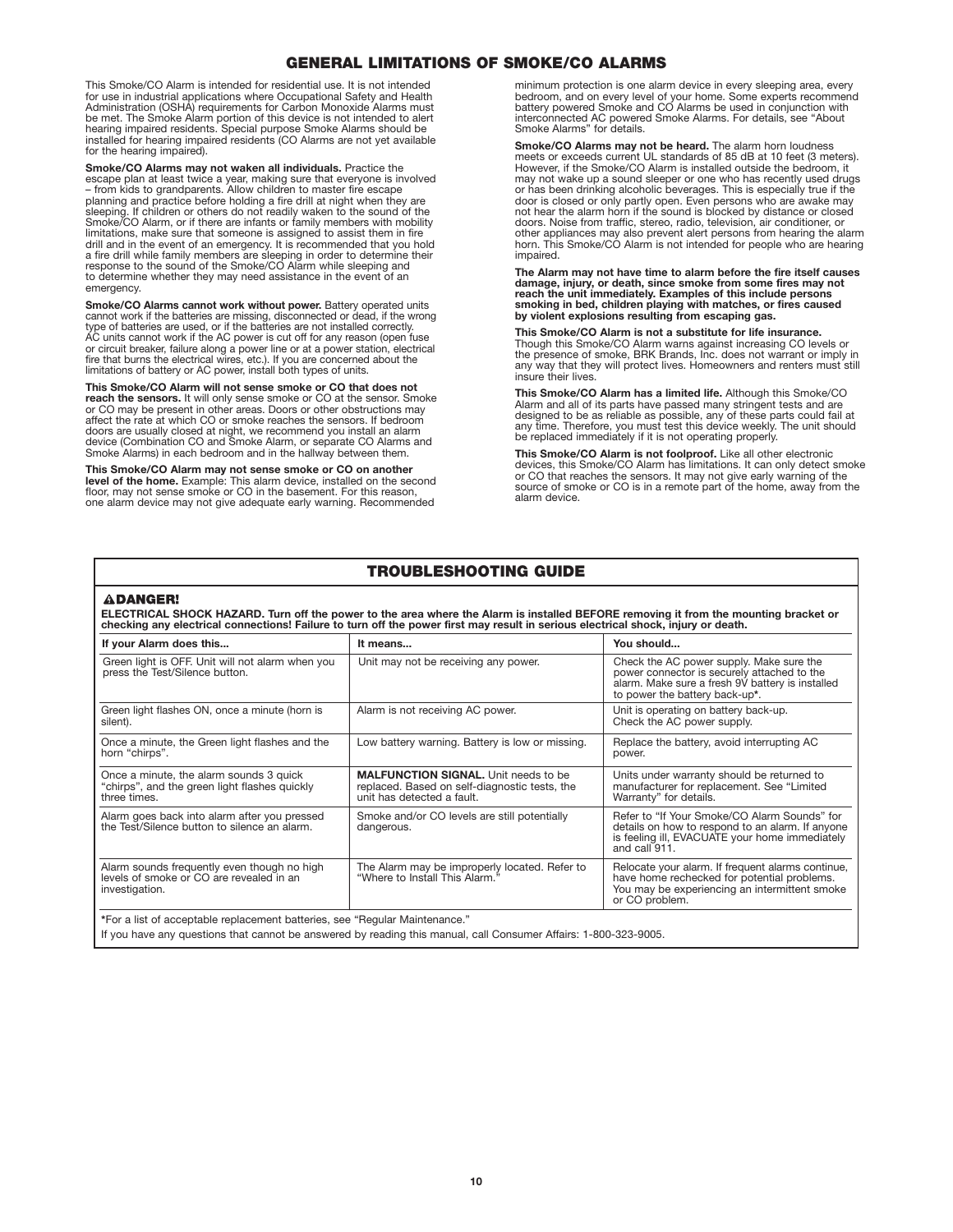# **GENERAL LIMITATIONS OF SMOKE/CO ALARMS**

This Smoke/CO Alarm is intended for residential use. It is not intended for use in industrial applications where Occupational Safety and Health Administration (OSHA) requirements for Carbon Monoxide Alarms must be met. The Smoke Alarm portion of this device is not intended to alert hearing impaired residents. Special purpose Smoke Alarms should be installed for hearing impaired residents (CO Alarms are not yet available for the hearing impaired).

**Smoke/CO Alarms may not waken all individuals.** Practice the<br>escape plan at least twice a year, making sure that everyone is involved<br>– from kids to grandparents. Allow children to master fire escape planning and practice before holding a fire drill at night when they are sleeping. If children or others do not readily waken to the sound of the<br>Smoke/CO Alarm, or if there are infants or family members with mobility<br>limitations, make sure that someone is assigned to assist them in fire drill and in the event of an emergency. It is recommended that you hold a fire drill while family members are sleeping in order to determine their response to the sound of the Smoke/CO Alarm while sleeping and to determine whether they may need assistance in the event of an emergency.

**Smoke/CO Alarms cannot work without power.** Battery operated units cannot work if the batteries are missing, disconnected or dead, if the wrong type of batteries are used, or if the batteries are not installed correctly. AC units cannot work if the AC power is cut off for any reason (open fuse or circuit breaker, failure along a power line or at a power station, electrical fire that burns the electrical wires, etc.). If you are concerned about the limitations of battery or AC power, install both types of units.

**This Smoke/CO Alarm will not sense smoke or CO that does not reach the sensors.** It will only sense smoke or CO at the sensor. Smoke or CO may be present in other areas. Doors or other obstructions may affect the rate at which CO or smoke reaches the sensors. If bedroom doors are usually closed at night, we recommend you install an alarm device (Combination CO and Smoke Alarm, or separate CO Alarms and Smoke Alarms) in each bedroom and in the hallway between them.

**This Smoke/CO Alarm may not sense smoke or CO on another level of the home.** Example: This alarm device, installed on the second floor, may not sense smoke or CO in the basement. For this reason, one alarm device may not give adequate early warning. Recommended

minimum protection is one alarm device in every sleeping area, every bedroom, and on every level of your home. Some experts recommend battery powered Smoke and CO Alarms be used in conjunction with interconnected AC powered Smoke Alarms. For details, see "About Smoke Alarms" for details.

**Smoke/CO Alarms may not be heard.** The alarm horn loudness meets or exceeds current UL standards of 85 dB at 10 feet (3 meters). However, if the Smoke/CO Alarm is installed outside the bedroom, it may not wake up a sound sleeper or one who has recently used drugs or has been drinking alcoholic beverages. This is especially true if the door is closed or only partly open. Even persons who are awake may not hear the alarm horn if the sound is blocked by distance or closed doors. Noise from traffic, stereo, radio, television, air conditioner, or other appliances may also prevent alert persons from hearing the alarm horn. This Smoke/CÓ Alarm is not intended for people who are hearing impaired.

**The Alarm may not have time to alarm before the fire itself causes damage, injury, or death, since smoke from some fires may not reach the unit immediately. Examples of this include persons smoking in bed, children playing with matches, or fires caused by violent explosions resulting from escaping gas.**

**This Smoke/CO Alarm is not a substitute for life insurance.** Though this Smoke/CO Alarm warns against increasing CO levels or the presence of smoke, BRK Brands, Inc. does not warrant or imply in any way that they will protect lives. Homeowners and renters must still insure their lives.

**This Smoke/CO Alarm has a limited life.** Although this Smoke/CO Alarm and all of its parts have passed many stringent tests and are designed to be as reliable as possible, any of these parts could fail at any time. Therefore, you must test this device weekly. The unit should be replaced immediately if it is not operating properly.

**This Smoke/CO Alarm is not foolproof.** Like all other electronic devices, this Smoke/CO Alarm has limitations. It can only detect smoke or CO that reaches the sensors. It may not give early warning of the source of smoke or CO is in a remote part of the home, away from the alarm device.

# **TROUBLESHOOTING GUIDE**

#### **ADANGER!**

ELECTRICAL SHOCK HAZARD. Turn off the power to the area where the Alarm is installed BEFORE removing it from the mounting bracket or<br>checking any electrical connections! Failure to turn off the power first may result in se

| If your Alarm does this                                                                                   | It means                                                                                                                   | You should                                                                                                                                                                    |
|-----------------------------------------------------------------------------------------------------------|----------------------------------------------------------------------------------------------------------------------------|-------------------------------------------------------------------------------------------------------------------------------------------------------------------------------|
| Green light is OFF. Unit will not alarm when you<br>press the Test/Silence button.                        | Unit may not be receiving any power.                                                                                       | Check the AC power supply. Make sure the<br>power connector is securely attached to the<br>alarm. Make sure a fresh 9V battery is installed<br>to power the battery back-up*. |
| Green light flashes ON, once a minute (horn is<br>silent).                                                | Alarm is not receiving AC power.                                                                                           | Unit is operating on battery back-up.<br>Check the AC power supply.                                                                                                           |
| Once a minute, the Green light flashes and the<br>horn "chirps".                                          | Low battery warning. Battery is low or missing.                                                                            | Replace the battery, avoid interrupting AC<br>power.                                                                                                                          |
| Once a minute, the alarm sounds 3 quick<br>"chirps", and the green light flashes quickly<br>three times.  | <b>MALFUNCTION SIGNAL.</b> Unit needs to be<br>replaced. Based on self-diagnostic tests, the<br>unit has detected a fault. | Units under warranty should be returned to<br>manufacturer for replacement. See "Limited<br>Warranty" for details.                                                            |
| Alarm goes back into alarm after you pressed<br>the Test/Silence button to silence an alarm.              | Smoke and/or CO levels are still potentially<br>dangerous.                                                                 | Refer to "If Your Smoke/CO Alarm Sounds" for<br>details on how to respond to an alarm. If anyone<br>is feeling ill, EVACUATE your home immediately<br>and call 911.           |
| Alarm sounds frequently even though no high<br>levels of smoke or CO are revealed in an<br>investigation. | The Alarm may be improperly located. Refer to<br>"Where to Install This Alarm."                                            | Relocate your alarm. If frequent alarms continue,<br>have home rechecked for potential problems.<br>You may be experiencing an intermittent smoke<br>or CO problem.           |
| *For a list of acceptable replacement batteries, see "Regular Maintenance."                               |                                                                                                                            |                                                                                                                                                                               |

If you have any questions that cannot be answered by reading this manual, call Consumer Affairs: 1-800-323-9005.